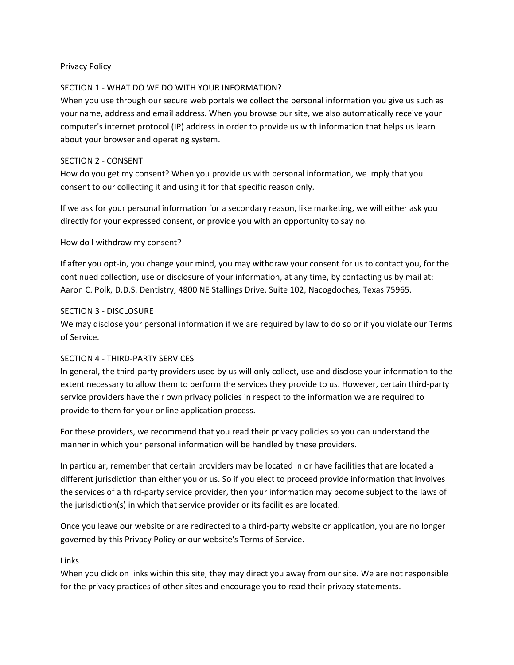### Privacy Policy

### SECTION 1 ‐ WHAT DO WE DO WITH YOUR INFORMATION?

When you use through our secure web portals we collect the personal information you give us such as your name, address and email address. When you browse our site, we also automatically receive your computer's internet protocol (IP) address in order to provide us with information that helps us learn about your browser and operating system.

### SECTION 2 ‐ CONSENT

How do you get my consent? When you provide us with personal information, we imply that you consent to our collecting it and using it for that specific reason only.

If we ask for your personal information for a secondary reason, like marketing, we will either ask you directly for your expressed consent, or provide you with an opportunity to say no.

How do I withdraw my consent?

If after you opt‐in, you change your mind, you may withdraw your consent for us to contact you, for the continued collection, use or disclosure of your information, at any time, by contacting us by mail at: Aaron C. Polk, D.D.S. Dentistry, 4800 NE Stallings Drive, Suite 102, Nacogdoches, Texas 75965.

### SECTION 3 ‐ DISCLOSURE

We may disclose your personal information if we are required by law to do so or if you violate our Terms of Service.

# SECTION 4 ‐ THIRD‐PARTY SERVICES

In general, the third‐party providers used by us will only collect, use and disclose your information to the extent necessary to allow them to perform the services they provide to us. However, certain third-party service providers have their own privacy policies in respect to the information we are required to provide to them for your online application process.

For these providers, we recommend that you read their privacy policies so you can understand the manner in which your personal information will be handled by these providers.

In particular, remember that certain providers may be located in or have facilities that are located a different jurisdiction than either you or us. So if you elect to proceed provide information that involves the services of a third‐party service provider, then your information may become subject to the laws of the jurisdiction(s) in which that service provider or its facilities are located.

Once you leave our website or are redirected to a third‐party website or application, you are no longer governed by this Privacy Policy or our website's Terms of Service.

#### Links

When you click on links within this site, they may direct you away from our site. We are not responsible for the privacy practices of other sites and encourage you to read their privacy statements.